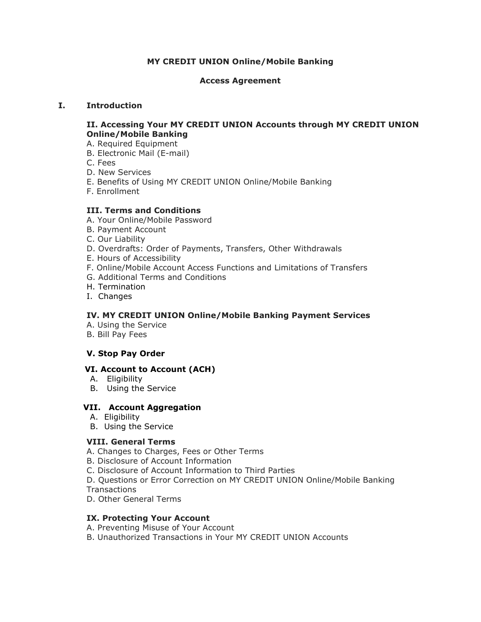## **MY CREDIT UNION Online/Mobile Banking**

### **Access Agreement**

## **I. Introduction**

### **II. Accessing Your MY CREDIT UNION Accounts through MY CREDIT UNION Online/Mobile Banking**

- A. Required Equipment
- B. Electronic Mail (E-mail)
- C. Fees
- D. New Services
- E. Benefits of Using MY CREDIT UNION Online/Mobile Banking
- F. Enrollment

# **III. Terms and Conditions**

- A. Your Online/Mobile Password
- B. Payment Account
- C. Our Liability
- D. Overdrafts: Order of Payments, Transfers, Other Withdrawals
- E. Hours of Accessibility
- F. Online/Mobile Account Access Functions and Limitations of Transfers
- G. Additional Terms and Conditions
- H. Termination
- I. Changes

# **IV. MY CREDIT UNION Online/Mobile Banking Payment Services**

- A. Using the Service
- B. Bill Pay Fees

# **V. Stop Pay Order**

#### **VI. Account to Account (ACH)**

- A. Eligibility
- B. Using the Service

# **VII. Account Aggregation**

- A. Eligibility
- B. Using the Service

#### **VIII. General Terms**

- A. Changes to Charges, Fees or Other Terms
- B. Disclosure of Account Information
- C. Disclosure of Account Information to Third Parties
- D. Questions or Error Correction on MY CREDIT UNION Online/Mobile Banking **Transactions**
- D. Other General Terms

#### **IX. Protecting Your Account**

- A. Preventing Misuse of Your Account
- B. Unauthorized Transactions in Your MY CREDIT UNION Accounts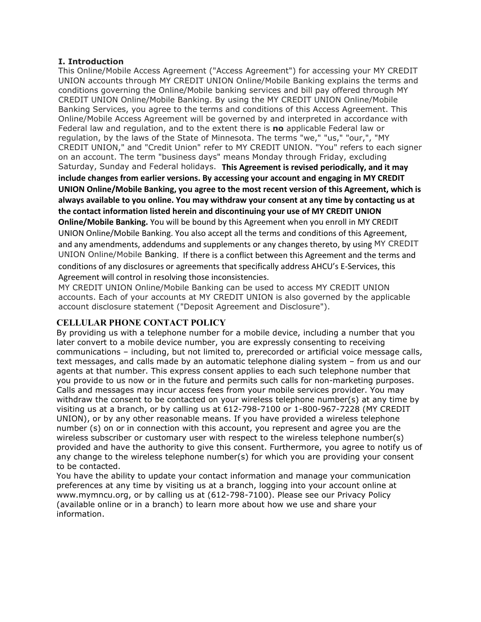### **I. Introduction**

This Online/Mobile Access Agreement ("Access Agreement") for accessing your MY CREDIT UNION accounts through MY CREDIT UNION Online/Mobile Banking explains the terms and conditions governing the Online/Mobile banking services and bill pay offered through MY CREDIT UNION Online/Mobile Banking. By using the MY CREDIT UNION Online/Mobile Banking Services, you agree to the terms and conditions of this Access Agreement. This Online/Mobile Access Agreement will be governed by and interpreted in accordance with Federal law and regulation, and to the extent there is **no** applicable Federal law or regulation, by the laws of the State of Minnesota. The terms "we," "us," "our,", "MY CREDIT UNION," and "Credit Union" refer to MY CREDIT UNION. "You" refers to each signer on an account. The term "business days" means Monday through Friday, excluding Saturday, Sunday and Federal holidays. **This Agreement is revised periodically, and it may include changes from earlier versions. By accessing your account and engaging in MY CREDIT UNION Online/Mobile Banking, you agree to the most recent version of this Agreement, which is always available to you online. You may withdraw your consent at any time by contacting us at the contact information listed herein and discontinuing your use of MY CREDIT UNION Online/Mobile Banking.** You will be bound by this Agreement when you enroll in MY CREDIT UNION Online/Mobile Banking. You also accept all the terms and conditions of this Agreement, and any amendments, addendums and supplements or any changes thereto, by using MY CREDIT UNION Online/Mobile Banking. If there is a conflict between this Agreement and the terms and conditions of any disclosures or agreements that specifically address AHCU's E-Services, this Agreement will control in resolving those inconsistencies.

MY CREDIT UNION Online/Mobile Banking can be used to access MY CREDIT UNION accounts. Each of your accounts at MY CREDIT UNION is also governed by the applicable account disclosure statement ("Deposit Agreement and Disclosure").

# **CELLULAR PHONE CONTACT POLICY**

By providing us with a telephone number for a mobile device, including a number that you later convert to a mobile device number, you are expressly consenting to receiving communications – including, but not limited to, prerecorded or artificial voice message calls, text messages, and calls made by an automatic telephone dialing system – from us and our agents at that number. This express consent applies to each such telephone number that you provide to us now or in the future and permits such calls for non-marketing purposes. Calls and messages may incur access fees from your mobile services provider. You may withdraw the consent to be contacted on your wireless telephone number(s) at any time by visiting us at a branch, or by calling us at 612-798-7100 or 1-800-967-7228 (MY CREDIT UNION), or by any other reasonable means. If you have provided a wireless telephone number (s) on or in connection with this account, you represent and agree you are the wireless subscriber or customary user with respect to the wireless telephone number(s) provided and have the authority to give this consent. Furthermore, you agree to notify us of any change to the wireless telephone number(s) for which you are providing your consent to be contacted.

You have the ability to update your contact information and manage your communication preferences at any time by visiting us at a branch, logging into your account online at www.mymncu.org, or by calling us at (612-798-7100). Please see our Privacy Policy (available online or in a branch) to learn more about how we use and share your information.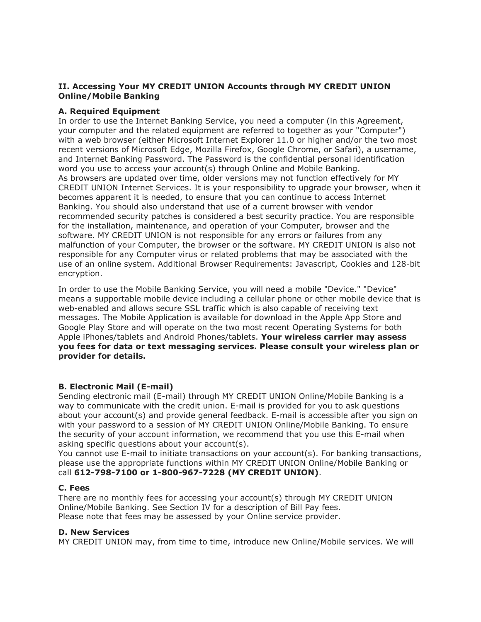## **II. Accessing Your MY CREDIT UNION Accounts through MY CREDIT UNION Online/Mobile Banking**

## **A. Required Equipment**

In order to use the Internet Banking Service, you need a computer (in this Agreement, your computer and the related equipment are referred to together as your "Computer") with a web browser (either Microsoft Internet Explorer 11.0 or higher and/or the two most recent versions of Microsoft Edge, Mozilla Firefox, Google Chrome, or Safari), a username, and Internet Banking Password. The Password is the confidential personal identification word you use to access your account(s) through Online and Mobile Banking. As browsers are updated over time, older versions may not function effectively for MY CREDIT UNION Internet Services. It is your responsibility to upgrade your browser, when it becomes apparent it is needed, to ensure that you can continue to access Internet Banking. You should also understand that use of a current browser with vendor recommended security patches is considered a best security practice. You are responsible for the installation, maintenance, and operation of your Computer, browser and the software. MY CREDIT UNION is not responsible for any errors or failures from any malfunction of your Computer, the browser or the software. MY CREDIT UNION is also not responsible for any Computer virus or related problems that may be associated with the use of an online system. Additional Browser Requirements: Javascript, Cookies and 128-bit encryption.

In order to use the Mobile Banking Service, you will need a mobile "Device." "Device" means a supportable mobile device including a cellular phone or other mobile device that is web-enabled and allows secure SSL traffic which is also capable of receiving text messages. The Mobile Application is available for download in the Apple App Store and Google Play Store and will operate on the two most recent Operating Systems for both Apple iPhones/tablets and Android Phones/tablets. **Your wireless carrier may assess you fees for data or text messaging services. Please consult your wireless plan or provider for details.**

# **B. Electronic Mail (E-mail)**

Sending electronic mail (E-mail) through MY CREDIT UNION Online/Mobile Banking is a way to communicate with the credit union. E-mail is provided for you to ask questions about your account(s) and provide general feedback. E-mail is accessible after you sign on with your password to a session of MY CREDIT UNION Online/Mobile Banking. To ensure the security of your account information, we recommend that you use this E-mail when asking specific questions about your account(s).

You cannot use E-mail to initiate transactions on your account(s). For banking transactions, please use the appropriate functions within MY CREDIT UNION Online/Mobile Banking or call **612-798-7100 or 1-800-967-7228 (MY CREDIT UNION)**.

#### **C. Fees**

There are no monthly fees for accessing your account(s) through MY CREDIT UNION Online/Mobile Banking. See Section IV for a description of Bill Pay fees. Please note that fees may be assessed by your Online service provider.

#### **D. New Services**

MY CREDIT UNION may, from time to time, introduce new Online/Mobile services. We will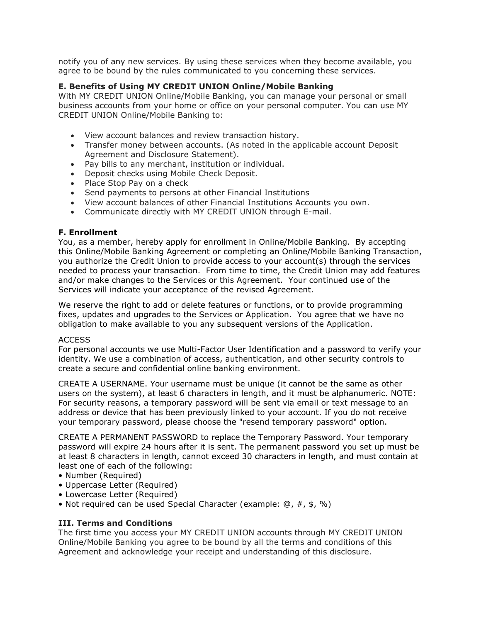notify you of any new services. By using these services when they become available, you agree to be bound by the rules communicated to you concerning these services.

## **E. Benefits of Using MY CREDIT UNION Online/Mobile Banking**

With MY CREDIT UNION Online/Mobile Banking, you can manage your personal or small business accounts from your home or office on your personal computer. You can use MY CREDIT UNION Online/Mobile Banking to:

- View account balances and review transaction history.
- Transfer money between accounts. (As noted in the applicable account Deposit Agreement and Disclosure Statement).
- Pay bills to any merchant, institution or individual.
- Deposit checks using Mobile Check Deposit.
- Place Stop Pay on a check
- Send payments to persons at other Financial Institutions
- View account balances of other Financial Institutions Accounts you own.
- Communicate directly with MY CREDIT UNION through E-mail.

#### **F. Enrollment**

You, as a member, hereby apply for enrollment in Online/Mobile Banking. By accepting this Online/Mobile Banking Agreement or completing an Online/Mobile Banking Transaction, you authorize the Credit Union to provide access to your account(s) through the services needed to process your transaction. From time to time, the Credit Union may add features and/or make changes to the Services or this Agreement. Your continued use of the Services will indicate your acceptance of the revised Agreement.

We reserve the right to add or delete features or functions, or to provide programming fixes, updates and upgrades to the Services or Application. You agree that we have no obligation to make available to you any subsequent versions of the Application.

#### ACCESS

For personal accounts we use Multi-Factor User Identification and a password to verify your identity. We use a combination of access, authentication, and other security controls to create a secure and confidential online banking environment.

CREATE A USERNAME. Your username must be unique (it cannot be the same as other users on the system), at least 6 characters in length, and it must be alphanumeric. NOTE: For security reasons, a temporary password will be sent via email or text message to an address or device that has been previously linked to your account. If you do not receive your temporary password, please choose the "resend temporary password" option.

CREATE A PERMANENT PASSWORD to replace the Temporary Password. Your temporary password will expire 24 hours after it is sent. The permanent password you set up must be at least 8 characters in length, cannot exceed 30 characters in length, and must contain at least one of each of the following:

- Number (Required)
- Uppercase Letter (Required)
- Lowercase Letter (Required)
- Not required can be used Special Character (example:  $(0, \#$ , \$, %)

#### **III. Terms and Conditions**

The first time you access your MY CREDIT UNION accounts through MY CREDIT UNION Online/Mobile Banking you agree to be bound by all the terms and conditions of this Agreement and acknowledge your receipt and understanding of this disclosure.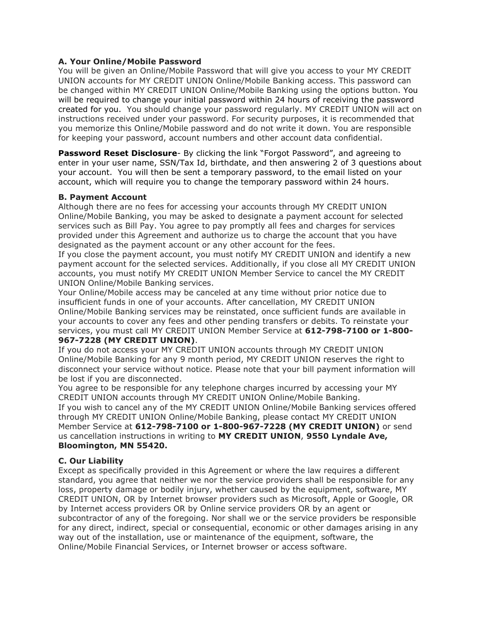### **A. Your Online/Mobile Password**

You will be given an Online/Mobile Password that will give you access to your MY CREDIT UNION accounts for MY CREDIT UNION Online/Mobile Banking access. This password can be changed within MY CREDIT UNION Online/Mobile Banking using the options button. You will be required to change your initial password within 24 hours of receiving the password created for you. You should change your password regularly. MY CREDIT UNION will act on instructions received under your password. For security purposes, it is recommended that you memorize this Online/Mobile password and do not write it down. You are responsible for keeping your password, account numbers and other account data confidential.

**Password Reset Disclosure**- By clicking the link "Forgot Password", and agreeing to enter in your user name, SSN/Tax Id, birthdate, and then answering 2 of 3 questions about your account. You will then be sent a temporary password, to the email listed on your account, which will require you to change the temporary password within 24 hours.

#### **B. Payment Account**

Although there are no fees for accessing your accounts through MY CREDIT UNION Online/Mobile Banking, you may be asked to designate a payment account for selected services such as Bill Pay. You agree to pay promptly all fees and charges for services provided under this Agreement and authorize us to charge the account that you have designated as the payment account or any other account for the fees.

If you close the payment account, you must notify MY CREDIT UNION and identify a new payment account for the selected services. Additionally, if you close all MY CREDIT UNION accounts, you must notify MY CREDIT UNION Member Service to cancel the MY CREDIT UNION Online/Mobile Banking services.

Your Online/Mobile access may be canceled at any time without prior notice due to insufficient funds in one of your accounts. After cancellation, MY CREDIT UNION Online/Mobile Banking services may be reinstated, once sufficient funds are available in your accounts to cover any fees and other pending transfers or debits. To reinstate your services, you must call MY CREDIT UNION Member Service at **612-798-7100 or 1-800- 967-7228 (MY CREDIT UNION)**.

If you do not access your MY CREDIT UNION accounts through MY CREDIT UNION Online/Mobile Banking for any 9 month period, MY CREDIT UNION reserves the right to disconnect your service without notice. Please note that your bill payment information will be lost if you are disconnected.

You agree to be responsible for any telephone charges incurred by accessing your MY CREDIT UNION accounts through MY CREDIT UNION Online/Mobile Banking. If you wish to cancel any of the MY CREDIT UNION Online/Mobile Banking services offered through MY CREDIT UNION Online/Mobile Banking, please contact MY CREDIT UNION Member Service at **612-798-7100 or 1-800-967-7228 (MY CREDIT UNION)** or send us cancellation instructions in writing to **MY CREDIT UNION**, **9550 Lyndale Ave, Bloomington, MN 55420.**

#### **C. Our Liability**

Except as specifically provided in this Agreement or where the law requires a different standard, you agree that neither we nor the service providers shall be responsible for any loss, property damage or bodily injury, whether caused by the equipment, software, MY CREDIT UNION, OR by Internet browser providers such as Microsoft, Apple or Google, OR by Internet access providers OR by Online service providers OR by an agent or subcontractor of any of the foregoing. Nor shall we or the service providers be responsible for any direct, indirect, special or consequential, economic or other damages arising in any way out of the installation, use or maintenance of the equipment, software, the Online/Mobile Financial Services, or Internet browser or access software.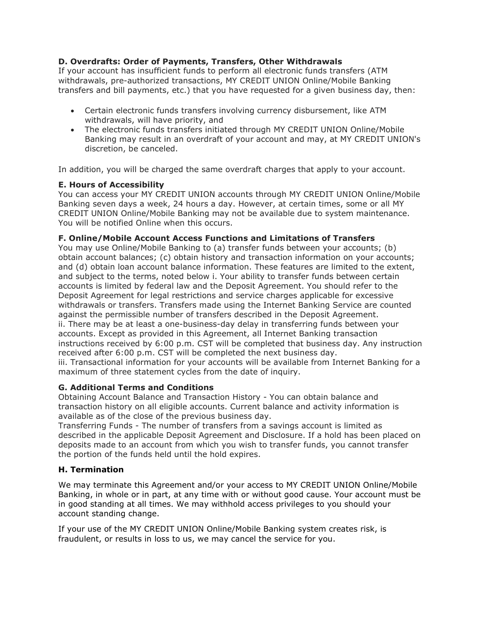# **D. Overdrafts: Order of Payments, Transfers, Other Withdrawals**

If your account has insufficient funds to perform all electronic funds transfers (ATM withdrawals, pre-authorized transactions, MY CREDIT UNION Online/Mobile Banking transfers and bill payments, etc.) that you have requested for a given business day, then:

- Certain electronic funds transfers involving currency disbursement, like ATM withdrawals, will have priority, and
- The electronic funds transfers initiated through MY CREDIT UNION Online/Mobile Banking may result in an overdraft of your account and may, at MY CREDIT UNION's discretion, be canceled.

In addition, you will be charged the same overdraft charges that apply to your account.

# **E. Hours of Accessibility**

You can access your MY CREDIT UNION accounts through MY CREDIT UNION Online/Mobile Banking seven days a week, 24 hours a day. However, at certain times, some or all MY CREDIT UNION Online/Mobile Banking may not be available due to system maintenance. You will be notified Online when this occurs.

# **F. Online/Mobile Account Access Functions and Limitations of Transfers**

You may use Online/Mobile Banking to (a) transfer funds between your accounts; (b) obtain account balances; (c) obtain history and transaction information on your accounts; and (d) obtain loan account balance information. These features are limited to the extent, and subject to the terms, noted below i. Your ability to transfer funds between certain accounts is limited by federal law and the Deposit Agreement. You should refer to the Deposit Agreement for legal restrictions and service charges applicable for excessive withdrawals or transfers. Transfers made using the Internet Banking Service are counted against the permissible number of transfers described in the Deposit Agreement. ii. There may be at least a one-business-day delay in transferring funds between your accounts. Except as provided in this Agreement, all Internet Banking transaction instructions received by 6:00 p.m. CST will be completed that business day. Any instruction received after 6:00 p.m. CST will be completed the next business day. iii. Transactional information for your accounts will be available from Internet Banking for a maximum of three statement cycles from the date of inquiry.

#### **G. Additional Terms and Conditions**

Obtaining Account Balance and Transaction History - You can obtain balance and transaction history on all eligible accounts. Current balance and activity information is available as of the close of the previous business day.

Transferring Funds - The number of transfers from a savings account is limited as described in the applicable Deposit Agreement and Disclosure. If a hold has been placed on deposits made to an account from which you wish to transfer funds, you cannot transfer the portion of the funds held until the hold expires.

# **H. Termination**

We may terminate this Agreement and/or your access to MY CREDIT UNION Online/Mobile Banking, in whole or in part, at any time with or without good cause. Your account must be in good standing at all times. We may withhold access privileges to you should your account standing change.

If your use of the MY CREDIT UNION Online/Mobile Banking system creates risk, is fraudulent, or results in loss to us, we may cancel the service for you.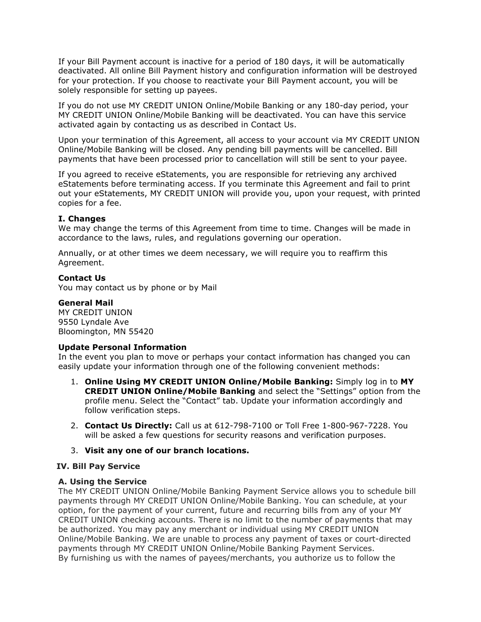If your Bill Payment account is inactive for a period of 180 days, it will be automatically deactivated. All online Bill Payment history and configuration information will be destroyed for your protection. If you choose to reactivate your Bill Payment account, you will be solely responsible for setting up payees.

If you do not use MY CREDIT UNION Online/Mobile Banking or any 180-day period, your MY CREDIT UNION Online/Mobile Banking will be deactivated. You can have this service activated again by contacting us as described in Contact Us.

Upon your termination of this Agreement, all access to your account via MY CREDIT UNION Online/Mobile Banking will be closed. Any pending bill payments will be cancelled. Bill payments that have been processed prior to cancellation will still be sent to your payee.

If you agreed to receive eStatements, you are responsible for retrieving any archived eStatements before terminating access. If you terminate this Agreement and fail to print out your eStatements, MY CREDIT UNION will provide you, upon your request, with printed copies for a fee.

#### **I. Changes**

We may change the terms of this Agreement from time to time. Changes will be made in accordance to the laws, rules, and regulations governing our operation.

Annually, or at other times we deem necessary, we will require you to reaffirm this Agreement.

#### **Contact Us**

You may contact us by phone or by Mail

#### **General Mail**

MY CREDIT UNION 9550 Lyndale Ave Bloomington, MN 55420

#### **Update Personal Information**

In the event you plan to move or perhaps your contact information has changed you can easily update your information through one of the following convenient methods:

- 1. **Online Using MY CREDIT UNION Online/Mobile Banking:** Simply log in to **MY CREDIT UNION Online/Mobile Banking** and select the "Settings" option from the profile menu. Select the "Contact" tab. Update your information accordingly and follow verification steps.
- 2. **Contact Us Directly:** Call us at 612-798-7100 or Toll Free 1-800-967-7228. You will be asked a few questions for security reasons and verification purposes.

#### 3. **Visit any one of our branch locations.**

#### **IV. Bill Pay Service**

#### **A. Using the Service**

The MY CREDIT UNION Online/Mobile Banking Payment Service allows you to schedule bill payments through MY CREDIT UNION Online/Mobile Banking. You can schedule, at your option, for the payment of your current, future and recurring bills from any of your MY CREDIT UNION checking accounts. There is no limit to the number of payments that may be authorized. You may pay any merchant or individual using MY CREDIT UNION Online/Mobile Banking. We are unable to process any payment of taxes or court-directed payments through MY CREDIT UNION Online/Mobile Banking Payment Services. By furnishing us with the names of payees/merchants, you authorize us to follow the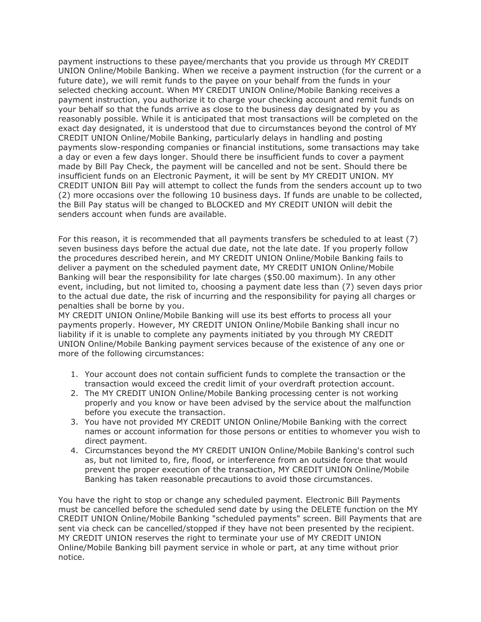payment instructions to these payee/merchants that you provide us through MY CREDIT UNION Online/Mobile Banking. When we receive a payment instruction (for the current or a future date), we will remit funds to the payee on your behalf from the funds in your selected checking account. When MY CREDIT UNION Online/Mobile Banking receives a payment instruction, you authorize it to charge your checking account and remit funds on your behalf so that the funds arrive as close to the business day designated by you as reasonably possible. While it is anticipated that most transactions will be completed on the exact day designated, it is understood that due to circumstances beyond the control of MY CREDIT UNION Online/Mobile Banking, particularly delays in handling and posting payments slow-responding companies or financial institutions, some transactions may take a day or even a few days longer. Should there be insufficient funds to cover a payment made by Bill Pay Check, the payment will be cancelled and not be sent. Should there be insufficient funds on an Electronic Payment, it will be sent by MY CREDIT UNION. MY CREDIT UNION Bill Pay will attempt to collect the funds from the senders account up to two (2) more occasions over the following 10 business days. If funds are unable to be collected, the Bill Pay status will be changed to BLOCKED and MY CREDIT UNION will debit the senders account when funds are available.

For this reason, it is recommended that all payments transfers be scheduled to at least (7) seven business days before the actual due date, not the late date. If you properly follow the procedures described herein, and MY CREDIT UNION Online/Mobile Banking fails to deliver a payment on the scheduled payment date, MY CREDIT UNION Online/Mobile Banking will bear the responsibility for late charges (\$50.00 maximum). In any other event, including, but not limited to, choosing a payment date less than (7) seven days prior to the actual due date, the risk of incurring and the responsibility for paying all charges or penalties shall be borne by you.

MY CREDIT UNION Online/Mobile Banking will use its best efforts to process all your payments properly. However, MY CREDIT UNION Online/Mobile Banking shall incur no liability if it is unable to complete any payments initiated by you through MY CREDIT UNION Online/Mobile Banking payment services because of the existence of any one or more of the following circumstances:

- 1. Your account does not contain sufficient funds to complete the transaction or the transaction would exceed the credit limit of your overdraft protection account.
- 2. The MY CREDIT UNION Online/Mobile Banking processing center is not working properly and you know or have been advised by the service about the malfunction before you execute the transaction.
- 3. You have not provided MY CREDIT UNION Online/Mobile Banking with the correct names or account information for those persons or entities to whomever you wish to direct payment.
- 4. Circumstances beyond the MY CREDIT UNION Online/Mobile Banking's control such as, but not limited to, fire, flood, or interference from an outside force that would prevent the proper execution of the transaction, MY CREDIT UNION Online/Mobile Banking has taken reasonable precautions to avoid those circumstances.

You have the right to stop or change any scheduled payment. Electronic Bill Payments must be cancelled before the scheduled send date by using the DELETE function on the MY CREDIT UNION Online/Mobile Banking "scheduled payments" screen. Bill Payments that are sent via check can be cancelled/stopped if they have not been presented by the recipient. MY CREDIT UNION reserves the right to terminate your use of MY CREDIT UNION Online/Mobile Banking bill payment service in whole or part, at any time without prior notice.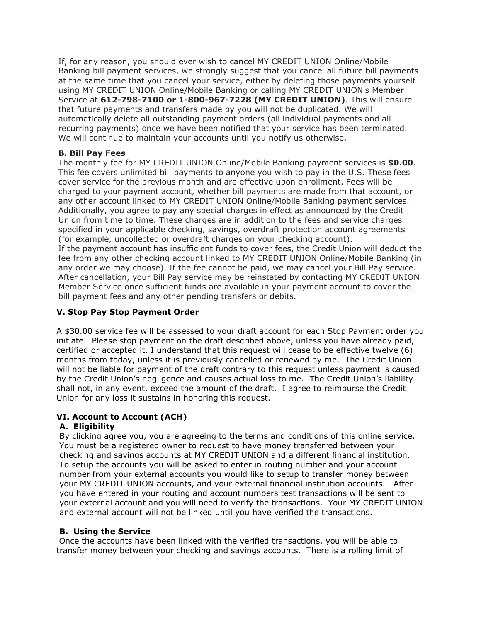If, for any reason, you should ever wish to cancel MY CREDIT UNION Online/Mobile Banking bill payment services, we strongly suggest that you cancel all future bill payments at the same time that you cancel your service, either by deleting those payments yourself using MY CREDIT UNION Online/Mobile Banking or calling MY CREDIT UNION's Member Service at **612-798-7100 or 1-800-967-7228 (MY CREDIT UNION)**. This will ensure that future payments and transfers made by you will not be duplicated. We will automatically delete all outstanding payment orders (all individual payments and all recurring payments) once we have been notified that your service has been terminated. We will continue to maintain your accounts until you notify us otherwise.

## **B. Bill Pay Fees**

The monthly fee for MY CREDIT UNION Online/Mobile Banking payment services is **\$0.00**. This fee covers unlimited bill payments to anyone you wish to pay in the U.S. These fees cover service for the previous month and are effective upon enrollment. Fees will be charged to your payment account, whether bill payments are made from that account, or any other account linked to MY CREDIT UNION Online/Mobile Banking payment services. Additionally, you agree to pay any special charges in effect as announced by the Credit Union from time to time. These charges are in addition to the fees and service charges specified in your applicable checking, savings, overdraft protection account agreements (for example, uncollected or overdraft charges on your checking account). If the payment account has insufficient funds to cover fees, the Credit Union will deduct the

fee from any other checking account linked to MY CREDIT UNION Online/Mobile Banking (in any order we may choose). If the fee cannot be paid, we may cancel your Bill Pay service. After cancellation, your Bill Pay service may be reinstated by contacting MY CREDIT UNION Member Service once sufficient funds are available in your payment account to cover the bill payment fees and any other pending transfers or debits.

## **V. Stop Pay Stop Payment Order**

A \$30.00 service fee will be assessed to your draft account for each Stop Payment order you initiate. Please stop payment on the draft described above, unless you have already paid, certified or accepted it. I understand that this request will cease to be effective twelve (6) months from today, unless it is previously cancelled or renewed by me. The Credit Union will not be liable for payment of the draft contrary to this request unless payment is caused by the Credit Union's negligence and causes actual loss to me. The Credit Union's liability shall not, in any event, exceed the amount of the draft. I agree to reimburse the Credit Union for any loss it sustains in honoring this request.

# **VI. Account to Account (ACH)**

# **A. Eligibility**

By clicking agree you, you are agreeing to the terms and conditions of this online service. You must be a registered owner to request to have money transferred between your checking and savings accounts at MY CREDIT UNION and a different financial institution. To setup the accounts you will be asked to enter in routing number and your account number from your external accounts you would like to setup to transfer money between your MY CREDIT UNION accounts, and your external financial institution accounts. After you have entered in your routing and account numbers test transactions will be sent to your external account and you will need to verify the transactions. Your MY CREDIT UNION and external account will not be linked until you have verified the transactions.

#### **B. Using the Service**

Once the accounts have been linked with the verified transactions, you will be able to transfer money between your checking and savings accounts. There is a rolling limit of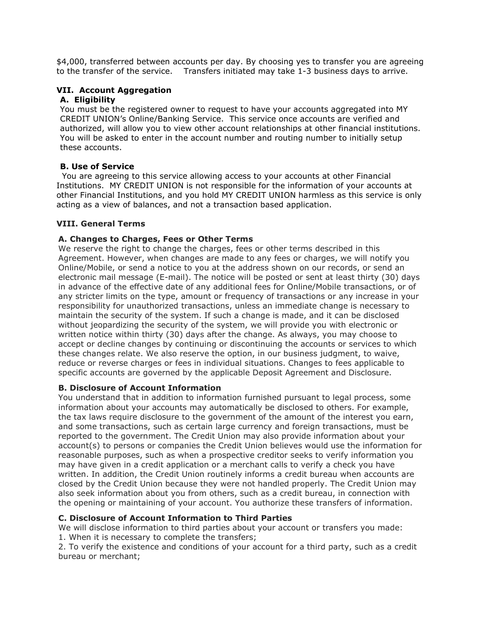\$4,000, transferred between accounts per day. By choosing yes to transfer you are agreeing to the transfer of the service. Transfers initiated may take 1-3 business days to arrive.

## **VII. Account Aggregation**

#### **A. Eligibility**

You must be the registered owner to request to have your accounts aggregated into MY CREDIT UNION's Online/Banking Service. This service once accounts are verified and authorized, will allow you to view other account relationships at other financial institutions. You will be asked to enter in the account number and routing number to initially setup these accounts.

#### **B. Use of Service**

 You are agreeing to this service allowing access to your accounts at other Financial Institutions. MY CREDIT UNION is not responsible for the information of your accounts at other Financial Institutions, and you hold MY CREDIT UNION harmless as this service is only acting as a view of balances, and not a transaction based application.

#### **VIII. General Terms**

## **A. Changes to Charges, Fees or Other Terms**

We reserve the right to change the charges, fees or other terms described in this Agreement. However, when changes are made to any fees or charges, we will notify you Online/Mobile, or send a notice to you at the address shown on our records, or send an electronic mail message (E-mail). The notice will be posted or sent at least thirty (30) days in advance of the effective date of any additional fees for Online/Mobile transactions, or of any stricter limits on the type, amount or frequency of transactions or any increase in your responsibility for unauthorized transactions, unless an immediate change is necessary to maintain the security of the system. If such a change is made, and it can be disclosed without jeopardizing the security of the system, we will provide you with electronic or written notice within thirty (30) days after the change. As always, you may choose to accept or decline changes by continuing or discontinuing the accounts or services to which these changes relate. We also reserve the option, in our business judgment, to waive, reduce or reverse charges or fees in individual situations. Changes to fees applicable to specific accounts are governed by the applicable Deposit Agreement and Disclosure.

### **B. Disclosure of Account Information**

You understand that in addition to information furnished pursuant to legal process, some information about your accounts may automatically be disclosed to others. For example, the tax laws require disclosure to the government of the amount of the interest you earn, and some transactions, such as certain large currency and foreign transactions, must be reported to the government. The Credit Union may also provide information about your account(s) to persons or companies the Credit Union believes would use the information for reasonable purposes, such as when a prospective creditor seeks to verify information you may have given in a credit application or a merchant calls to verify a check you have written. In addition, the Credit Union routinely informs a credit bureau when accounts are closed by the Credit Union because they were not handled properly. The Credit Union may also seek information about you from others, such as a credit bureau, in connection with the opening or maintaining of your account. You authorize these transfers of information.

### **C. Disclosure of Account Information to Third Parties**

We will disclose information to third parties about your account or transfers you made: 1. When it is necessary to complete the transfers;

2. To verify the existence and conditions of your account for a third party, such as a credit bureau or merchant;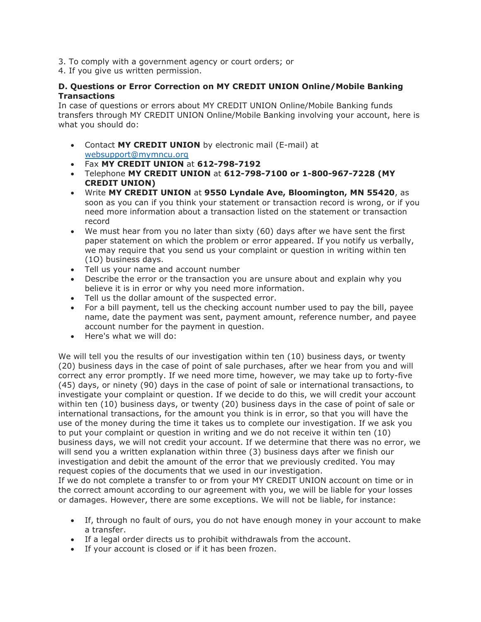- 3. To comply with a government agency or court orders; or
- 4. If you give us written permission.

### **D. Questions or Error Correction on MY CREDIT UNION Online/Mobile Banking Transactions**

In case of questions or errors about MY CREDIT UNION Online/Mobile Banking funds transfers through MY CREDIT UNION Online/Mobile Banking involving your account, here is what you should do:

- Contact **MY CREDIT UNION** by electronic mail (E-mail) at [websupport@mymncu.org](mailto:websupport@mymncu.org)
- Fax **MY CREDIT UNION** at **612-798-7192**
- Telephone **MY CREDIT UNION** at **612-798-7100 or 1-800-967-7228 (MY CREDIT UNION)**
- Write **MY CREDIT UNION** at **9550 Lyndale Ave, Bloomington, MN 55420**, as soon as you can if you think your statement or transaction record is wrong, or if you need more information about a transaction listed on the statement or transaction record
- We must hear from you no later than sixty (60) days after we have sent the first paper statement on which the problem or error appeared. If you notify us verbally, we may require that you send us your complaint or question in writing within ten (1O) business days.
- Tell us your name and account number
- Describe the error or the transaction you are unsure about and explain why you believe it is in error or why you need more information.
- Tell us the dollar amount of the suspected error.
- For a bill payment, tell us the checking account number used to pay the bill, payee name, date the payment was sent, payment amount, reference number, and payee account number for the payment in question.
- Here's what we will do:

We will tell you the results of our investigation within ten (10) business days, or twenty (20) business days in the case of point of sale purchases, after we hear from you and will correct any error promptly. If we need more time, however, we may take up to forty-five (45) days, or ninety (90) days in the case of point of sale or international transactions, to investigate your complaint or question. If we decide to do this, we will credit your account within ten (10) business days, or twenty (20) business days in the case of point of sale or international transactions, for the amount you think is in error, so that you will have the use of the money during the time it takes us to complete our investigation. If we ask you to put your complaint or question in writing and we do not receive it within ten (10) business days, we will not credit your account. If we determine that there was no error, we will send you a written explanation within three (3) business days after we finish our investigation and debit the amount of the error that we previously credited. You may request copies of the documents that we used in our investigation.

If we do not complete a transfer to or from your MY CREDIT UNION account on time or in the correct amount according to our agreement with you, we will be liable for your losses or damages. However, there are some exceptions. We will not be liable, for instance:

- If, through no fault of ours, you do not have enough money in your account to make a transfer.
- If a legal order directs us to prohibit withdrawals from the account.
- If your account is closed or if it has been frozen.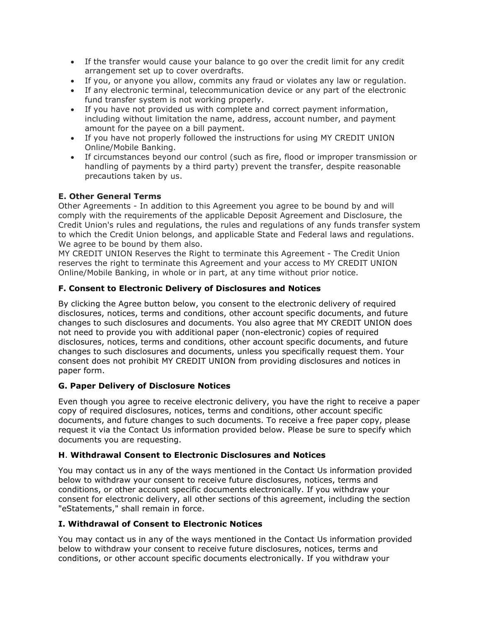- If the transfer would cause your balance to go over the credit limit for any credit arrangement set up to cover overdrafts.
- If you, or anyone you allow, commits any fraud or violates any law or regulation.
- If any electronic terminal, telecommunication device or any part of the electronic fund transfer system is not working properly.
- If you have not provided us with complete and correct payment information, including without limitation the name, address, account number, and payment amount for the payee on a bill payment.
- If you have not properly followed the instructions for using MY CREDIT UNION Online/Mobile Banking.
- If circumstances beyond our control (such as fire, flood or improper transmission or handling of payments by a third party) prevent the transfer, despite reasonable precautions taken by us.

# **E. Other General Terms**

Other Agreements - In addition to this Agreement you agree to be bound by and will comply with the requirements of the applicable Deposit Agreement and Disclosure, the Credit Union's rules and regulations, the rules and regulations of any funds transfer system to which the Credit Union belongs, and applicable State and Federal laws and regulations. We agree to be bound by them also.

MY CREDIT UNION Reserves the Right to terminate this Agreement - The Credit Union reserves the right to terminate this Agreement and your access to MY CREDIT UNION Online/Mobile Banking, in whole or in part, at any time without prior notice.

# **F. Consent to Electronic Delivery of Disclosures and Notices**

By clicking the Agree button below, you consent to the electronic delivery of required disclosures, notices, terms and conditions, other account specific documents, and future changes to such disclosures and documents. You also agree that MY CREDIT UNION does not need to provide you with additional paper (non-electronic) copies of required disclosures, notices, terms and conditions, other account specific documents, and future changes to such disclosures and documents, unless you specifically request them. Your consent does not prohibit MY CREDIT UNION from providing disclosures and notices in paper form.

# **G. Paper Delivery of Disclosure Notices**

Even though you agree to receive electronic delivery, you have the right to receive a paper copy of required disclosures, notices, terms and conditions, other account specific documents, and future changes to such documents. To receive a free paper copy, please request it via the Contact Us information provided below. Please be sure to specify which documents you are requesting.

# **H**. **Withdrawal Consent to Electronic Disclosures and Notices**

You may contact us in any of the ways mentioned in the Contact Us information provided below to withdraw your consent to receive future disclosures, notices, terms and conditions, or other account specific documents electronically. If you withdraw your consent for electronic delivery, all other sections of this agreement, including the section "eStatements," shall remain in force.

# **I. Withdrawal of Consent to Electronic Notices**

You may contact us in any of the ways mentioned in the Contact Us information provided below to withdraw your consent to receive future disclosures, notices, terms and conditions, or other account specific documents electronically. If you withdraw your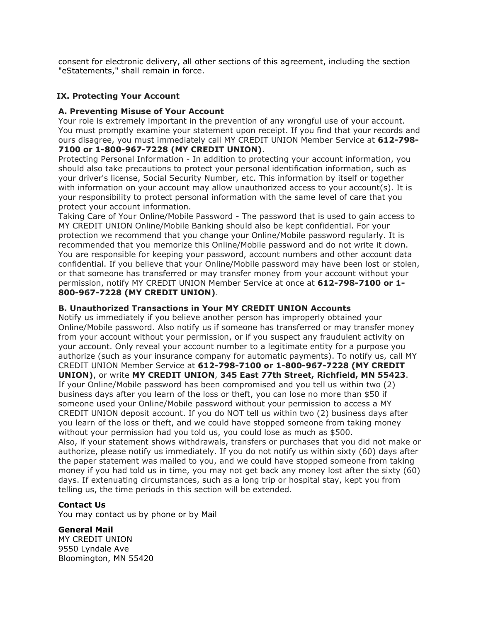consent for electronic delivery, all other sections of this agreement, including the section "eStatements," shall remain in force.

## **IX. Protecting Your Account**

#### **A. Preventing Misuse of Your Account**

Your role is extremely important in the prevention of any wrongful use of your account. You must promptly examine your statement upon receipt. If you find that your records and ours disagree, you must immediately call MY CREDIT UNION Member Service at **612-798- 7100 or 1-800-967-7228 (MY CREDIT UNION)**.

Protecting Personal Information - In addition to protecting your account information, you should also take precautions to protect your personal identification information, such as your driver's license, Social Security Number, etc. This information by itself or together with information on your account may allow unauthorized access to your account(s). It is your responsibility to protect personal information with the same level of care that you protect your account information.

Taking Care of Your Online/Mobile Password - The password that is used to gain access to MY CREDIT UNION Online/Mobile Banking should also be kept confidential. For your protection we recommend that you change your Online/Mobile password regularly. It is recommended that you memorize this Online/Mobile password and do not write it down. You are responsible for keeping your password, account numbers and other account data confidential. If you believe that your Online/Mobile password may have been lost or stolen, or that someone has transferred or may transfer money from your account without your permission, notify MY CREDIT UNION Member Service at once at **612-798-7100 or 1- 800-967-7228 (MY CREDIT UNION)**.

#### **B. Unauthorized Transactions in Your MY CREDIT UNION Accounts**

Notify us immediately if you believe another person has improperly obtained your Online/Mobile password. Also notify us if someone has transferred or may transfer money from your account without your permission, or if you suspect any fraudulent activity on your account. Only reveal your account number to a legitimate entity for a purpose you authorize (such as your insurance company for automatic payments). To notify us, call MY CREDIT UNION Member Service at **612-798-7100 or 1-800-967-7228 (MY CREDIT UNION)**, or write **MY CREDIT UNION**, **345 East 77th Street, Richfield, MN 55423**. If your Online/Mobile password has been compromised and you tell us within two (2) business days after you learn of the loss or theft, you can lose no more than \$50 if someone used your Online/Mobile password without your permission to access a MY CREDIT UNION deposit account. If you do NOT tell us within two (2) business days after you learn of the loss or theft, and we could have stopped someone from taking money without your permission had you told us, you could lose as much as \$500. Also, if your statement shows withdrawals, transfers or purchases that you did not make or authorize, please notify us immediately. If you do not notify us within sixty (60) days after the paper statement was mailed to you, and we could have stopped someone from taking money if you had told us in time, you may not get back any money lost after the sixty (60) days. If extenuating circumstances, such as a long trip or hospital stay, kept you from telling us, the time periods in this section will be extended.

#### **Contact Us**

You may contact us by phone or by Mail

#### **General Mail**

MY CREDIT UNION 9550 Lyndale Ave Bloomington, MN 55420